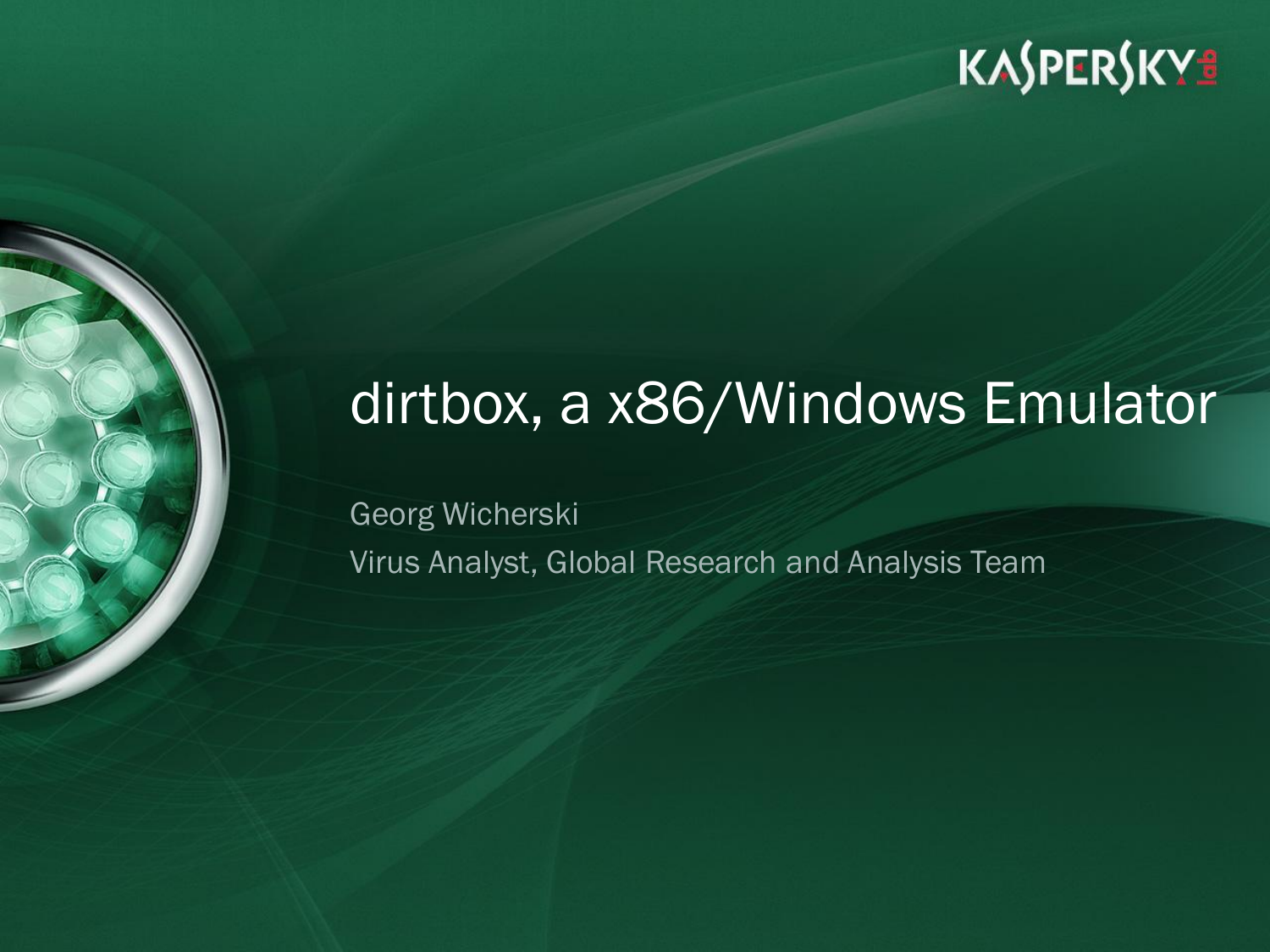## dirtbox, a x86/Windows Emulator

Georg Wicherski Virus Analyst, Global Research and Analysis Team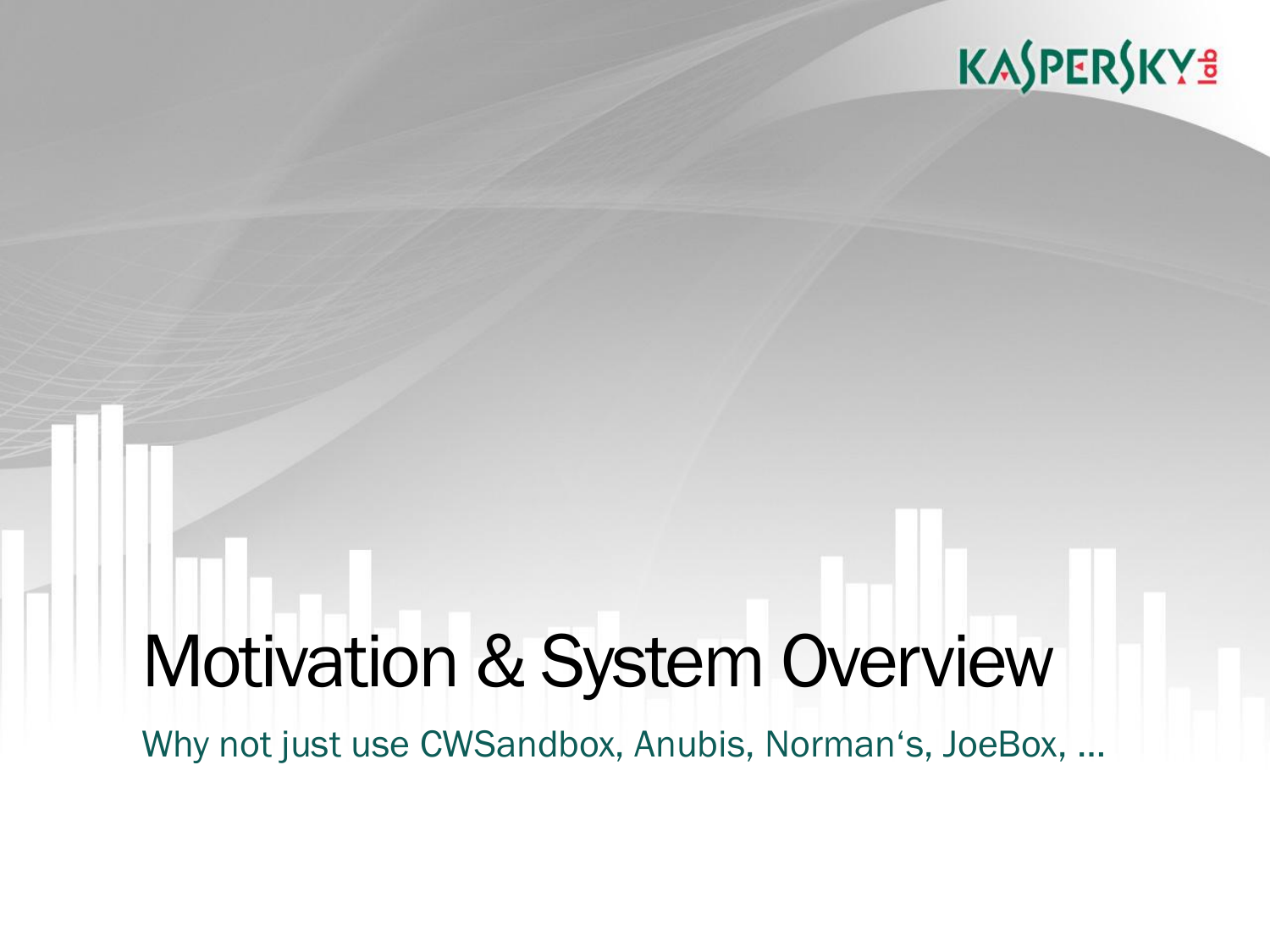## Motivation & System Overview

Why not just use CWSandbox, Anubis, Norman's, JoeBox, …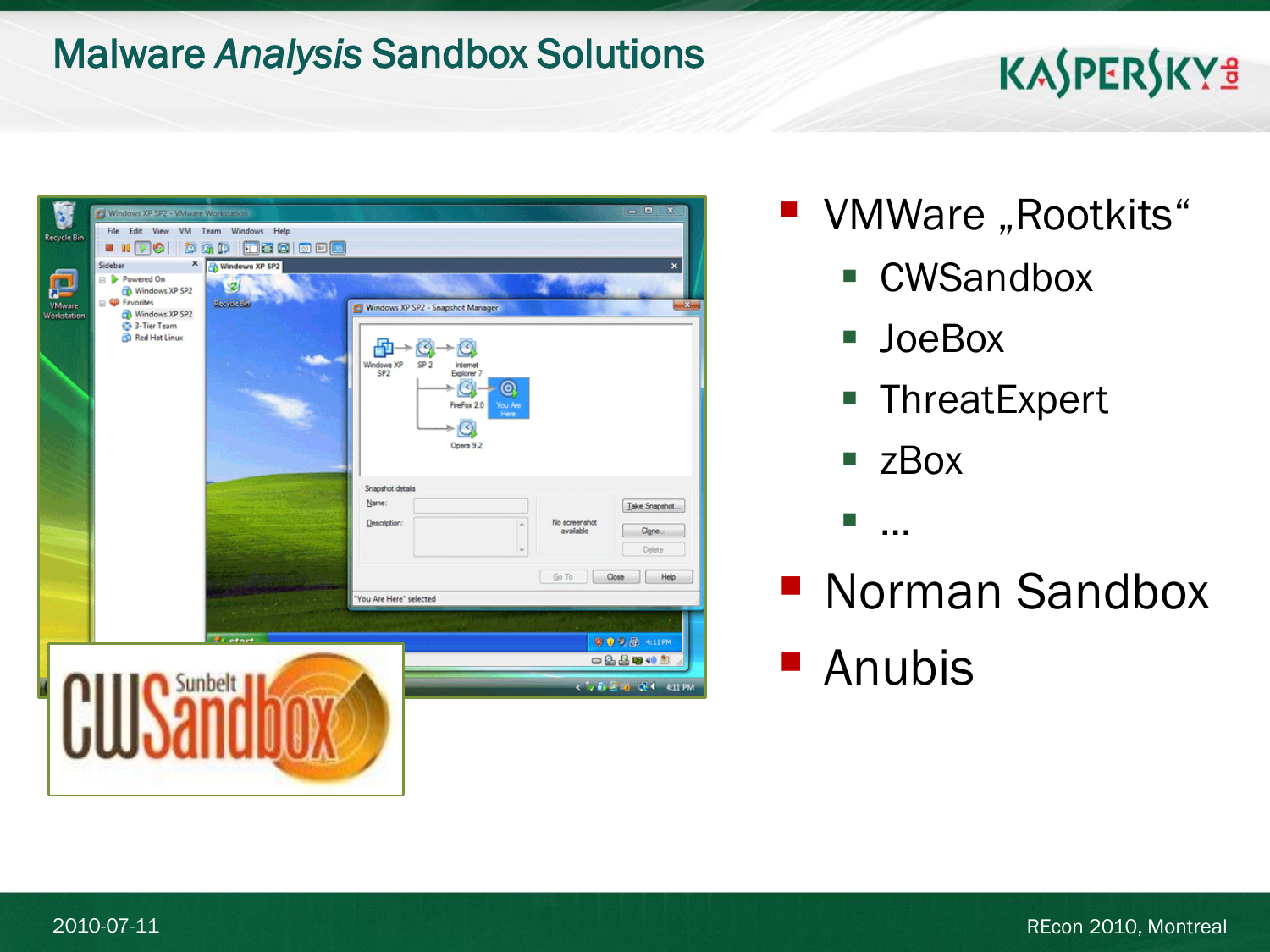#### Malware *Analysis* Sandbox Solutions

## KASPERSKYS

|                    | Windows XP SP2 - VMware Workstation |                                        |                                                                                                                                           | $  x$                                         |
|--------------------|-------------------------------------|----------------------------------------|-------------------------------------------------------------------------------------------------------------------------------------------|-----------------------------------------------|
| <b>Recycle Bin</b> | File Edit View VM Team Windows Help |                                        |                                                                                                                                           |                                               |
|                    | 囟<br>e e<br>- 99<br>G               | Foolved<br><b>IC</b><br>G <sub>0</sub> |                                                                                                                                           |                                               |
|                    | ×<br>Sidebar                        | Windows XP SP2                         |                                                                                                                                           | $\pmb{\times}$                                |
| m                  | Powered On<br>Windows XP SP2        | ×2                                     |                                                                                                                                           |                                               |
| <b>VMware</b>      | <b>P</b> Favorites                  | <b>Beautiful Exi</b>                   | Windows XP SP2 - Snapshot Manager                                                                                                         | m Zen                                         |
| <b>Workstation</b> | Windows XP SP2<br>83-Tier Team      |                                        |                                                                                                                                           |                                               |
|                    | Red Hat Linux                       |                                        | Windows XP<br>SP2<br>SP <sub>2</sub><br>Internet<br>Explorer 7<br>×.<br>О<br>FireFox 2.0<br>You Are<br>Here<br>$\mathcal{Q}$<br>Opera 9.2 |                                               |
|                    |                                     |                                        | Snapshot details                                                                                                                          |                                               |
|                    |                                     |                                        | Name:                                                                                                                                     | Take Snapshot.                                |
|                    |                                     |                                        | Description:<br>À                                                                                                                         | No screenshot<br>available<br>Cigne<br>Delete |
|                    |                                     |                                        |                                                                                                                                           | Close<br>Go To<br>Help                        |
|                    |                                     |                                        | "You Are Here" selected                                                                                                                   |                                               |
|                    |                                     |                                        |                                                                                                                                           |                                               |
|                    |                                     | <b>By etart</b>                        |                                                                                                                                           | ● ● ● 命 +11PM                                 |
|                    |                                     |                                        |                                                                                                                                           | $-220$                                        |
|                    |                                     | Sunbelt                                |                                                                                                                                           | < 0 6 2 6 3 4 4 1 PM                          |
|                    |                                     |                                        |                                                                                                                                           |                                               |
|                    |                                     |                                        |                                                                                                                                           |                                               |
|                    |                                     |                                        |                                                                                                                                           |                                               |
|                    |                                     |                                        |                                                                                                                                           |                                               |
|                    |                                     |                                        |                                                                                                                                           |                                               |

- VMWare "Rootkits"
	- CWSandbox
	- JoeBox
	- **ThreatExpert**
	- zBox

■ …

■ Norman Sandbox **Anubis**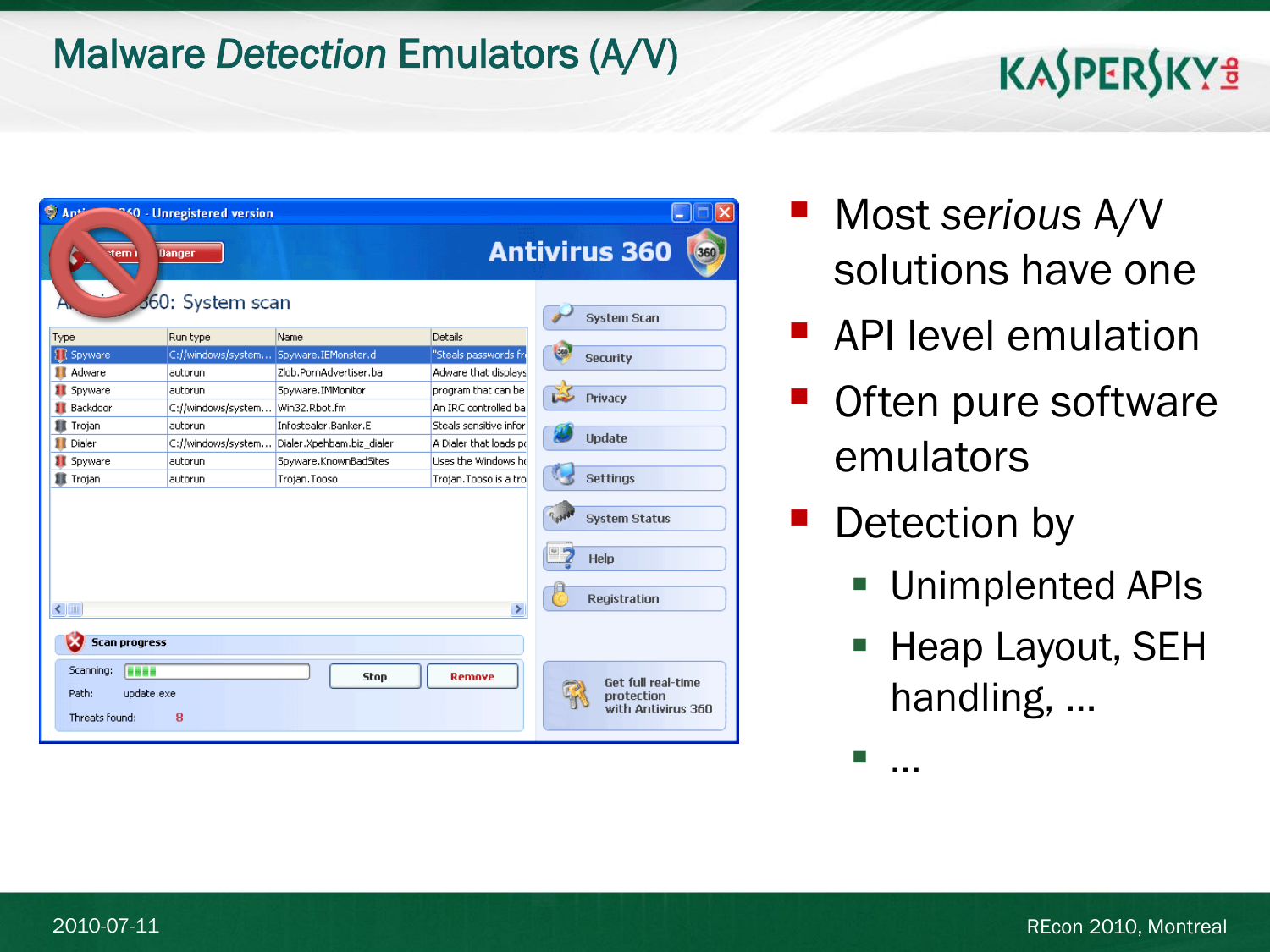#### Malware *Detection* Emulators (A/V)

## **KASPERSKYS**

| $\bigcirc$ Ap <sup>+</sup>                                                   | <sup>~&lt; 0</sup> - Unregistered version |                           |                        |                                                        |
|------------------------------------------------------------------------------|-------------------------------------------|---------------------------|------------------------|--------------------------------------------------------|
| tem i                                                                        | Danger<br>360: System scan                |                           |                        | <b>Antivirus 360</b><br>360                            |
|                                                                              |                                           |                           |                        | <b>System Scan</b>                                     |
| Type                                                                         | Run type                                  | Name                      | Details                |                                                        |
| <b>II</b> Spyware                                                            | C://windows/system                        | Spyware.IEMonster.d       | "Steals passwords fri  | <b>Security</b>                                        |
| <b>1</b> Adware                                                              | autorun                                   | Zlob.PornAdvertiser.ba    | Adware that displays   |                                                        |
| <b>II</b> Spyware                                                            | autorun                                   | Spyware.IMMonitor         | program that can be    | Privacy                                                |
| <b>II</b> Backdoor                                                           | C://windows/system                        | Win32.Rbot.fm             | An IRC controlled ba   |                                                        |
| н<br>Trojan                                                                  | autorun                                   | Infostealer.Banker.E      | Steals sensitive infor |                                                        |
| Dialer<br>п                                                                  | C://windows/system                        | Dialer.Xpehbam.biz_dialer | A Dialer that loads po | <b>Update</b>                                          |
| <b>II</b> Spyware                                                            | autorun                                   | Spyware.KnownBadSites     | Uses the Windows ho    |                                                        |
| <b>重 Trojan</b>                                                              | autorun                                   | Trojan. Tooso             | Trojan. Tooso is a tro | <b>Settings</b>                                        |
| $\leq$                                                                       |                                           |                           | $\rightarrow$          | <b>System Status</b><br>Help<br><b>Registration</b>    |
| <b>Scan progress</b><br>Scanning:<br><b>Fasss</b><br>Path:<br>Threats found: | update.exe<br>8                           | <b>Stop</b>               | <b>Remove</b>          | Get full real-time<br>protection<br>with Antivirus 360 |

- Most *serious* A/V solutions have one
- **API level emulation**
- **Often pure software** emulators
- Detection by
	- Unimplented APIs
	- Heap Layout, SEH handling, …

…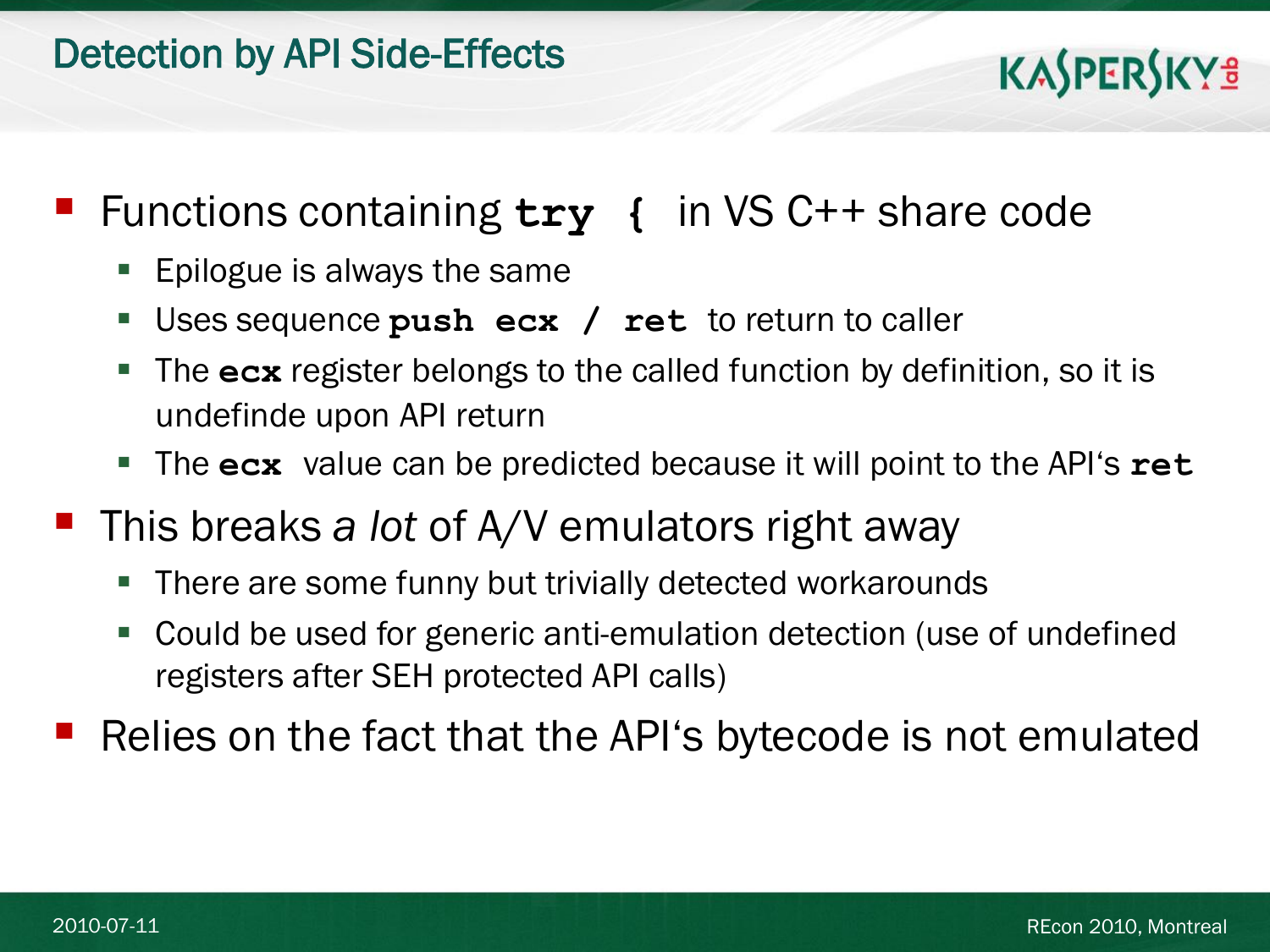

#### Functions containing **try {** in VS C++ share code

- **Epilogue is always the same**
- Uses sequence **push ecx / ret** to return to caller
- The **ecx** register belongs to the called function by definition, so it is undefinde upon API return
- The **ecx** value can be predicted because it will point to the API's **ret**
- This breaks *a lot* of A/V emulators right away
	- There are some funny but trivially detected workarounds
	- Could be used for generic anti-emulation detection (use of undefined registers after SEH protected API calls)

Relies on the fact that the API's bytecode is not emulated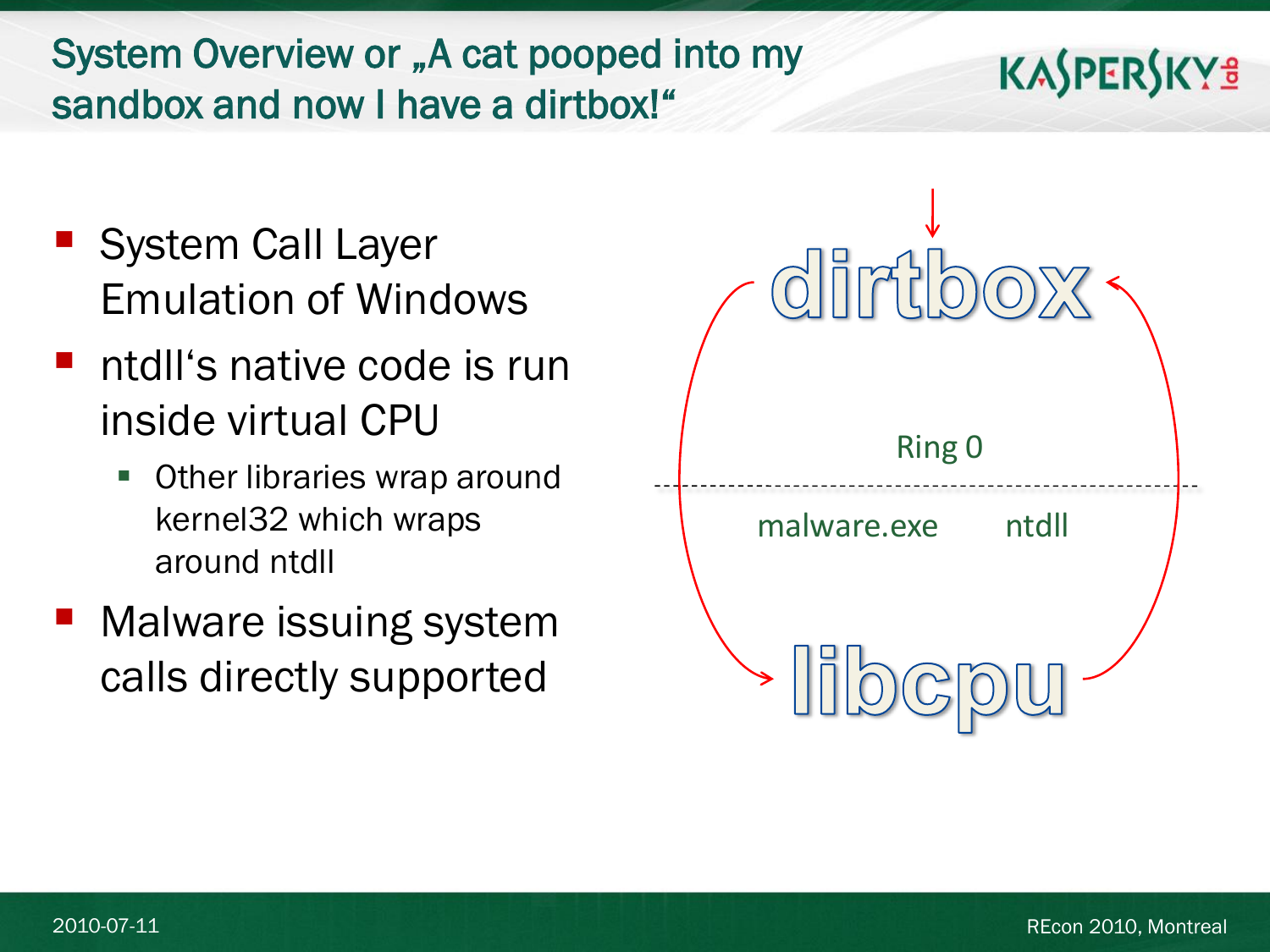#### System Overview or "A cat pooped into my sandbox and now I have a dirtbox!"

- **System Call Layer** Emulation of Windows
- ntdll's native code is run inside virtual CPU
	- **Deta** Other libraries wrap around kernel32 which wraps around ntdll
- Malware issuing system calls directly supported

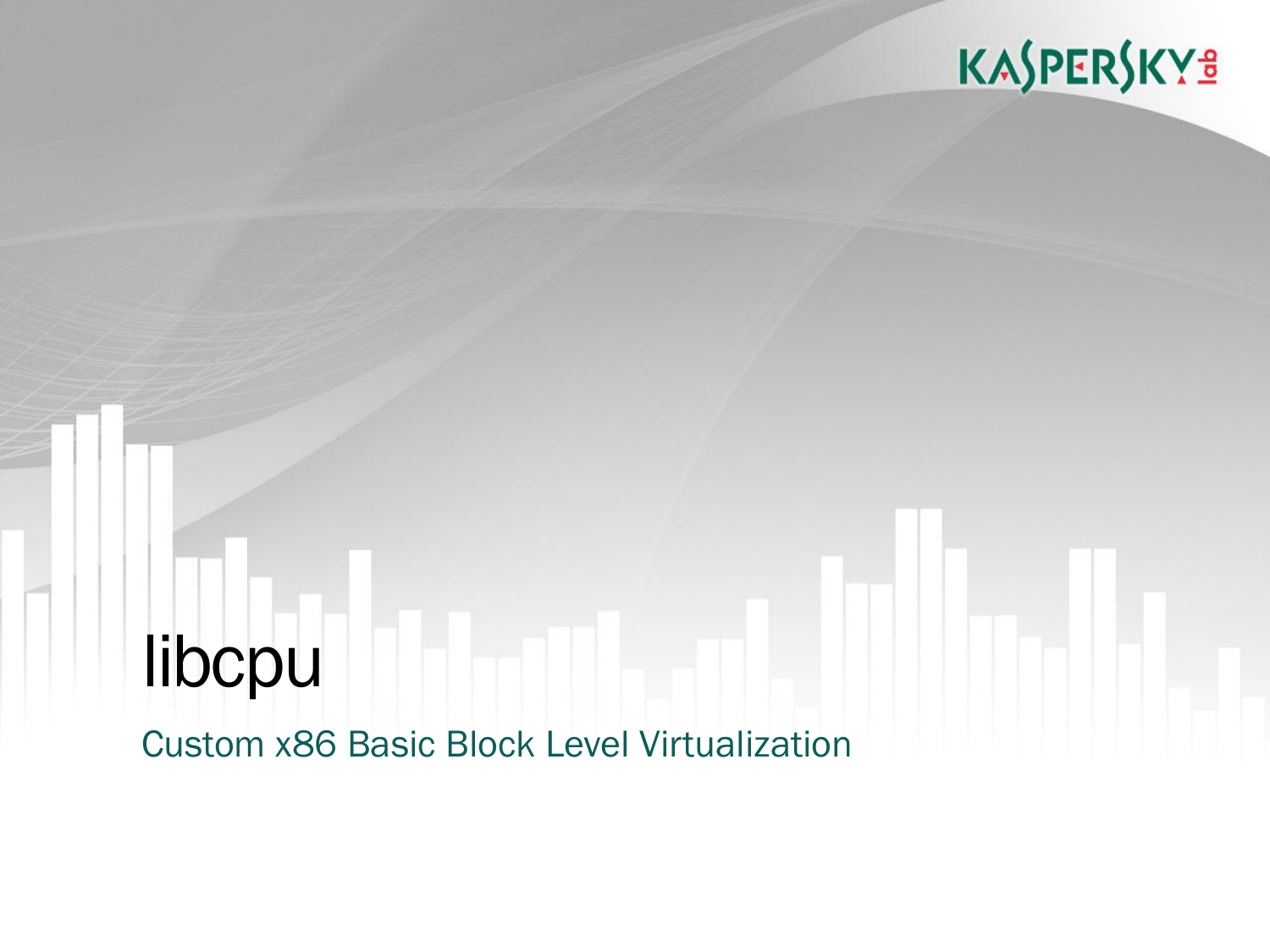# libcpu

Custom x86 Basic Block Level Virtualization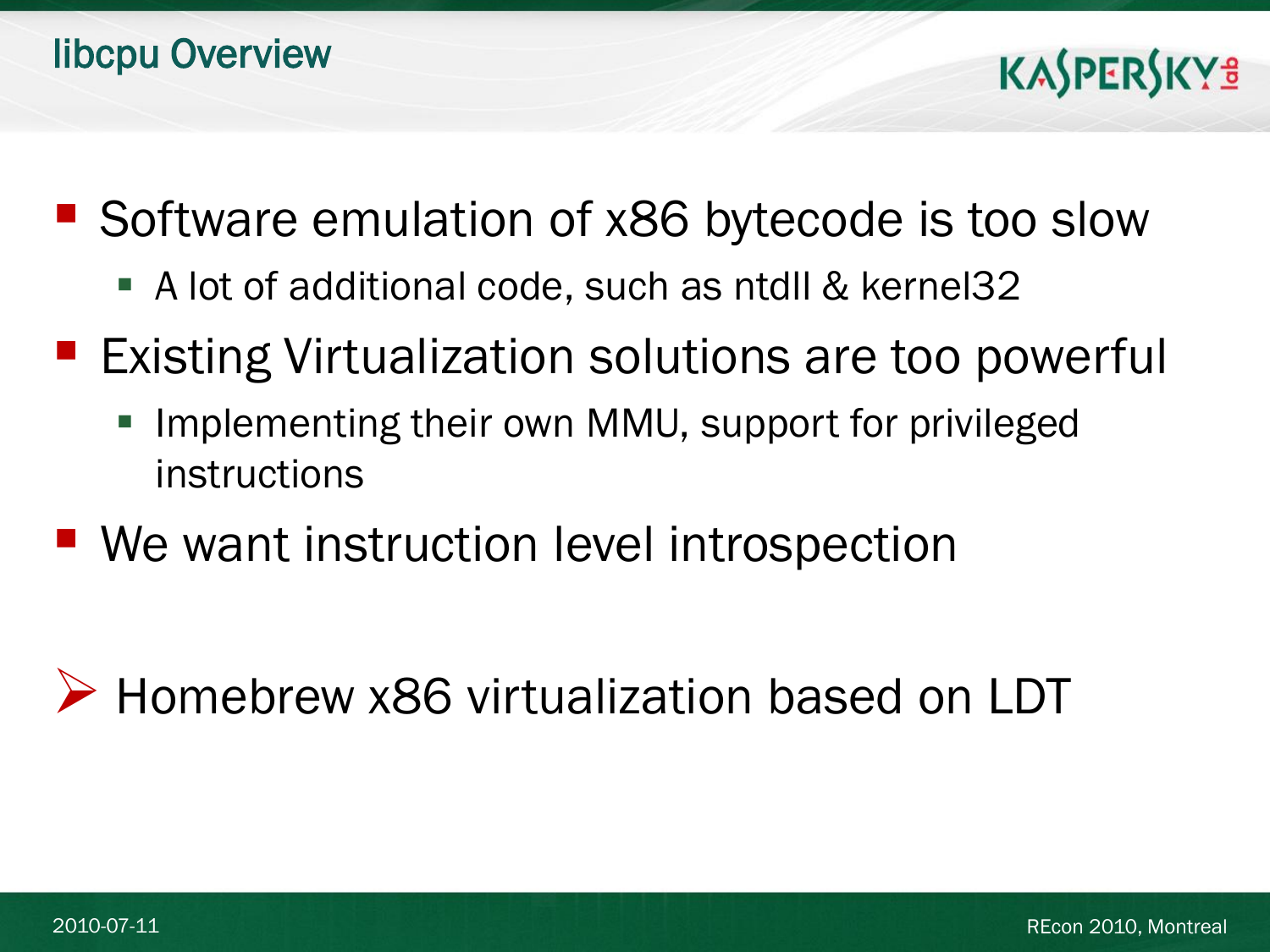- Software emulation of x86 bytecode is too slow
	- A lot of additional code, such as ntdll & kernel32
- **Existing Virtualization solutions are too powerful** 
	- **IMPLEMENTION INGLES** Implementing their own MMU, support for privileged instructions
- We want instruction level introspection
- ▶ Homebrew x86 virtualization based on LDT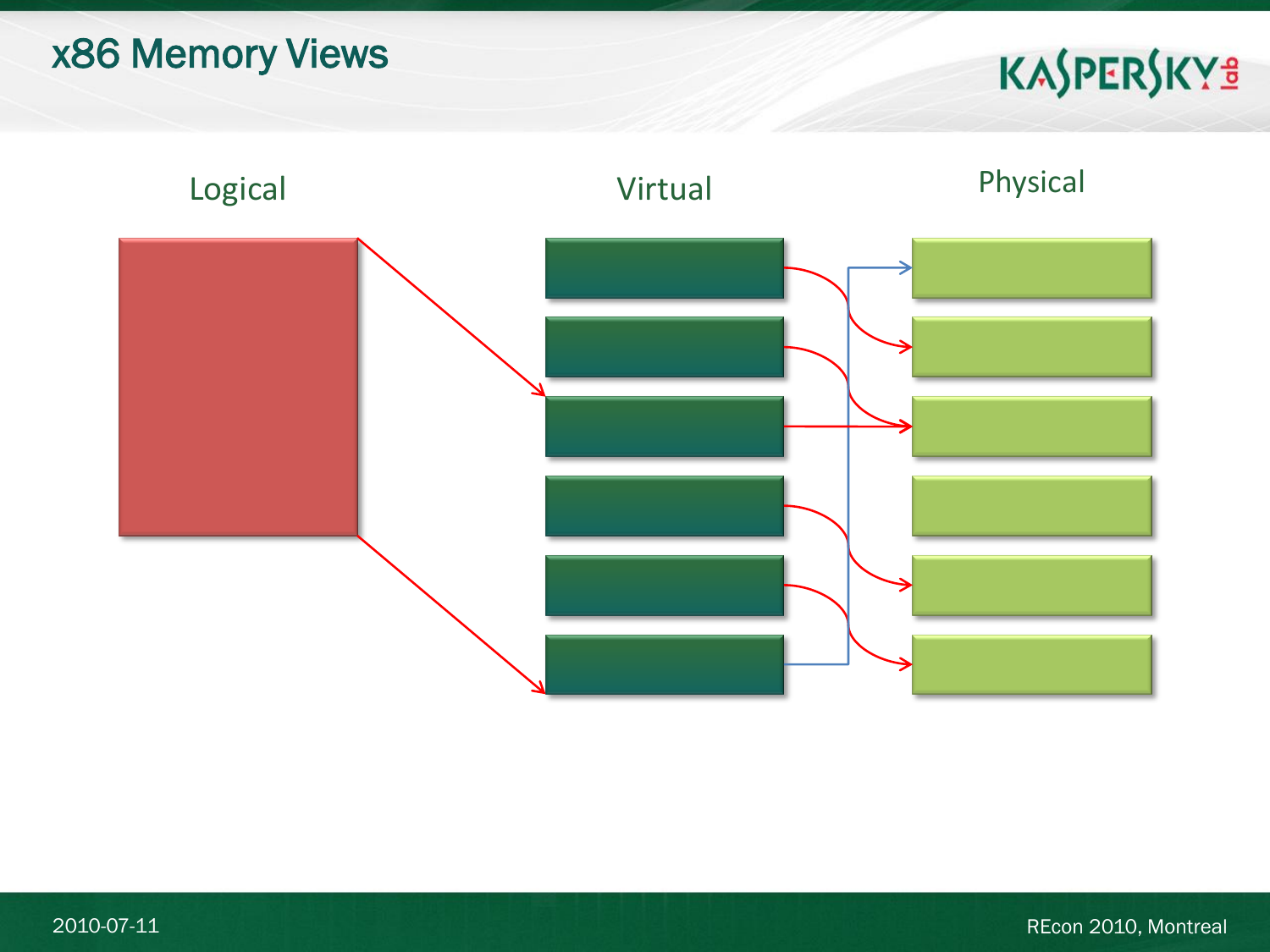#### x86 Memory Views

## KASPERSKY<sup>3</sup>

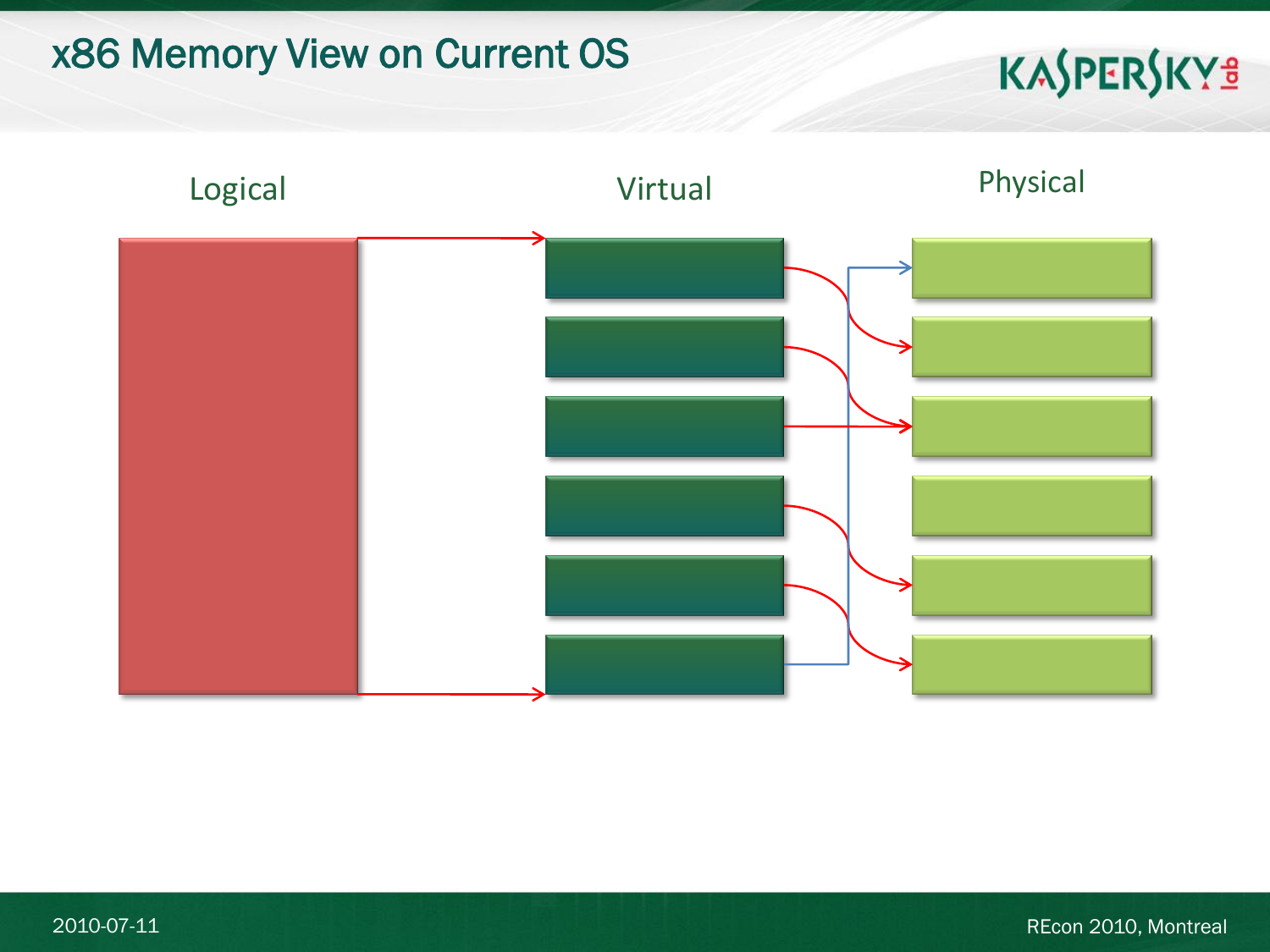#### x86 Memory View on Current OS

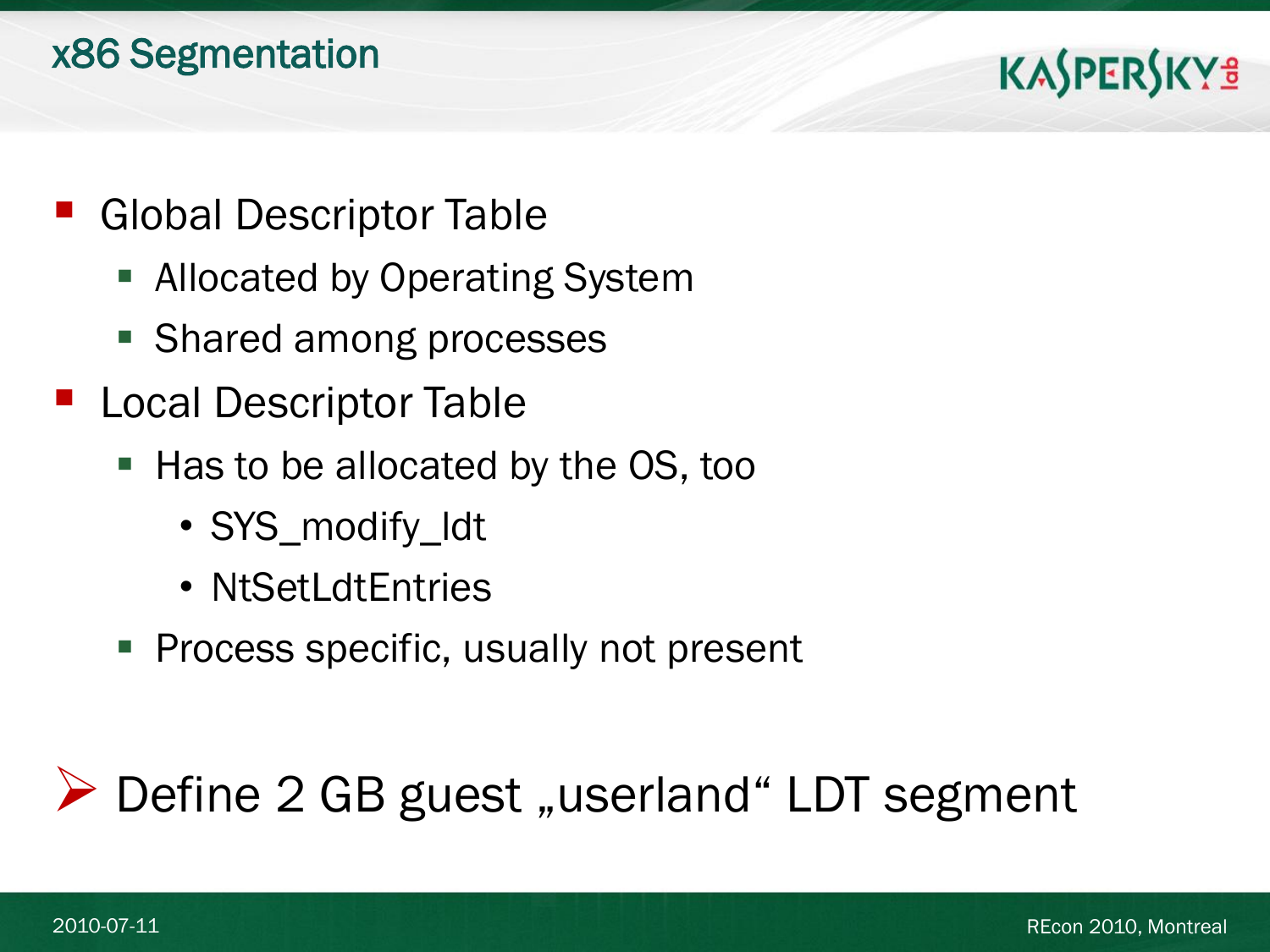#### x86 Segmentation

#### **KASPERSKYS**

- **Global Descriptor Table** 
	- **Allocated by Operating System**
	- **Shared among processes**
- Local Descriptor Table
	- Has to be allocated by the OS, too
		- SYS\_modify\_ldt
		- NtSetLdtEntries
	- **Process specific, usually not present**

#### $\triangleright$  Define 2 GB guest "userland" LDT segment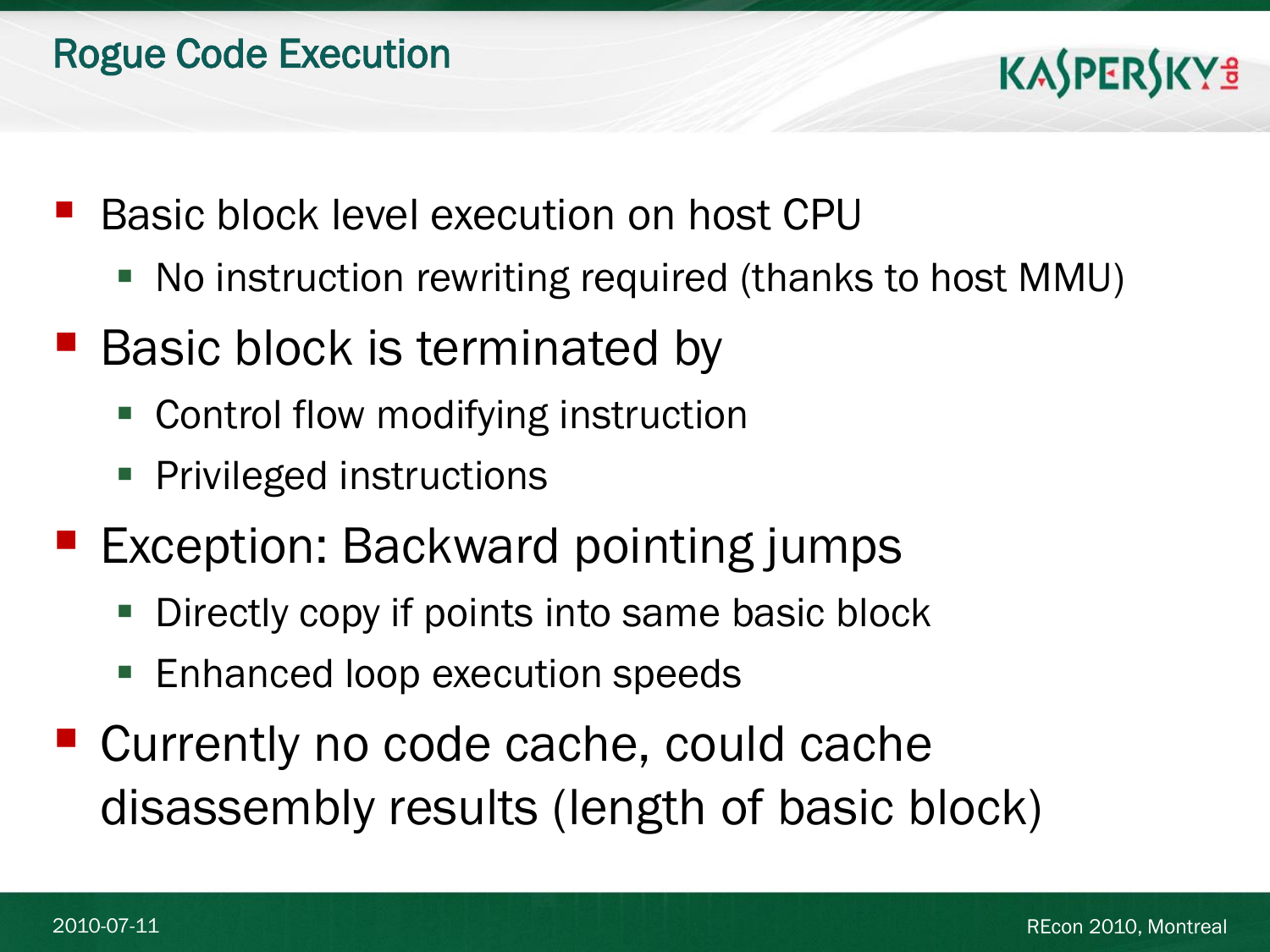- Basic block level execution on host CPU
	- No instruction rewriting required (thanks to host MMU)
- **Basic block is terminated by** 
	- Control flow modifying instruction
	- **Privileged instructions**
- **Exception: Backward pointing jumps** 
	- Directly copy if points into same basic block
	- **Enhanced loop execution speeds**
- Currently no code cache, could cache disassembly results (length of basic block)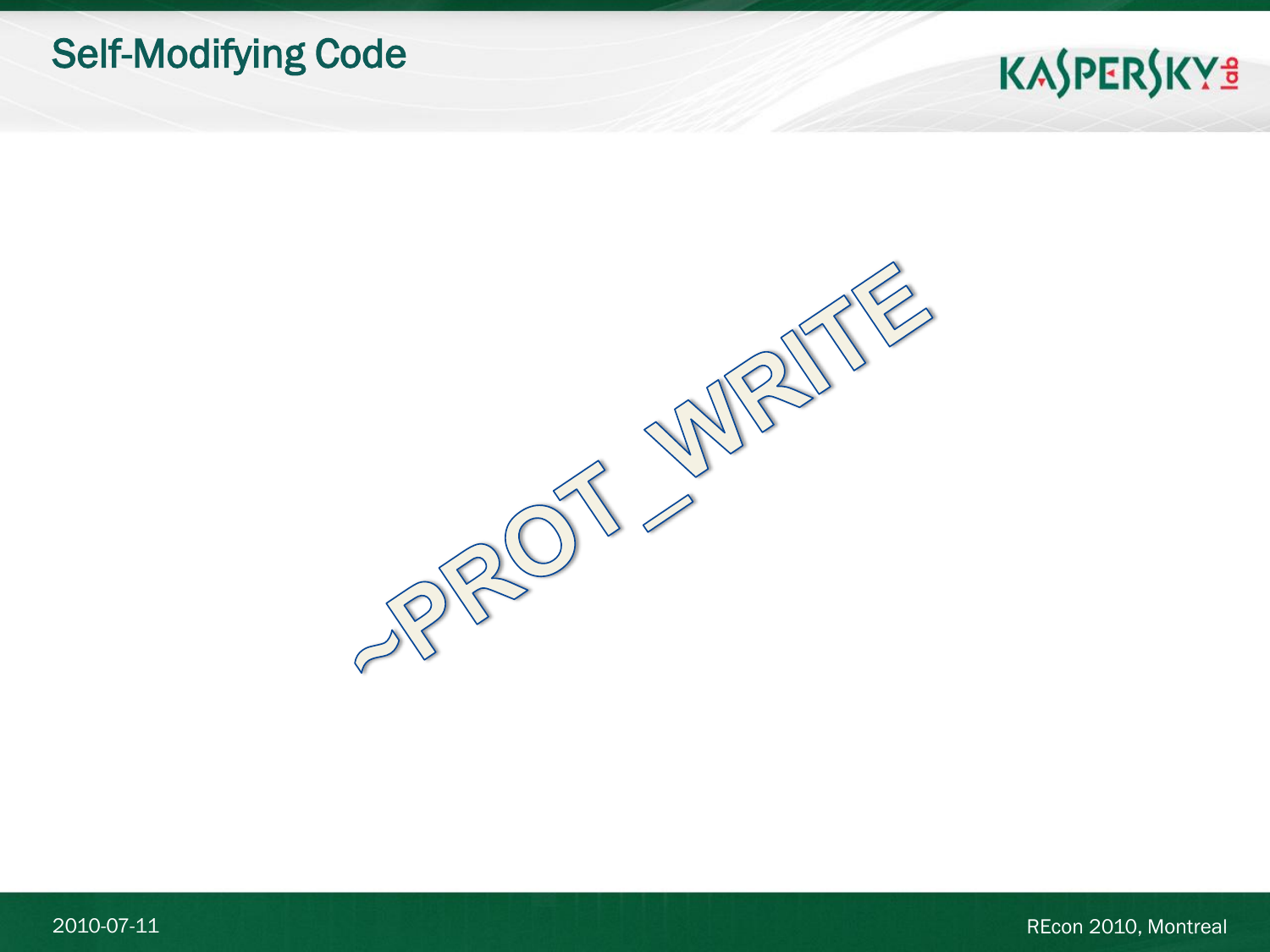#### Self-Modifying Code

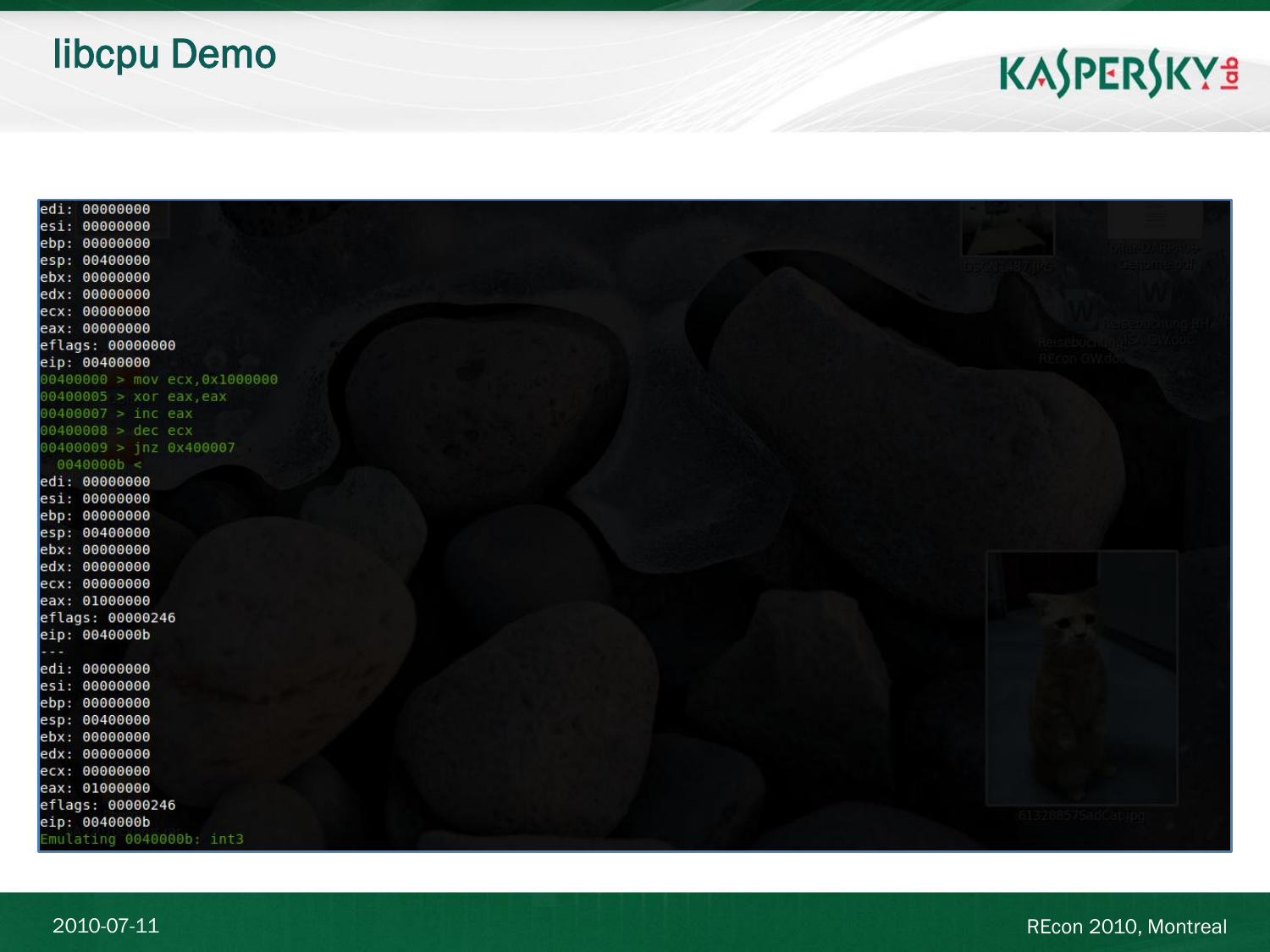#### libcpu Demo

| ear: poppoppo                   |                     |
|---------------------------------|---------------------|
| esi: 00000000                   |                     |
| ebp: 00000000                   |                     |
| esp: 00400000                   |                     |
| ebx: 00000000                   |                     |
| edx: 00000000                   |                     |
| ecx: 00000000                   |                     |
| eax: 00000000                   |                     |
| eflags: 00000000                | 12 53 Jun 1 1 1 1 1 |
| eip: 00400000                   | <b>REcon GW.ddg</b> |
| $00400000$ > mov ecx, 0x1000000 |                     |
| $00400005$ > xor eax, eax       |                     |
| $00400007$ > inc eax            |                     |
| $00400008$ > dec ecx            |                     |
| $00400009$ > jnz 0x400007       |                     |
| 0040000b <                      |                     |
| edi: 00000000                   |                     |
| esi: 00000000                   |                     |
| ebp: 00000000                   |                     |
| esp: 00400000                   |                     |
| ebx: 00000000                   |                     |
| edx: 00000000                   |                     |
| ecx: 00000000                   |                     |
| eax: 01000000                   |                     |
| eflags: 00000246                |                     |
| eip: 0040000b                   |                     |
| $- - -$                         |                     |
| edi: 00000000                   |                     |
| esi: 00000000                   |                     |
| ebp: 00000000                   |                     |
| esp: 00400000                   |                     |
| ebx: 00000000                   |                     |
| edx: 00000000                   |                     |
| ecx: 00000000                   |                     |
| eax: 01000000                   |                     |
| eflags: 00000246                |                     |
| eip: 0040000b                   | 113288375806881     |
| Emulating 0040000b: int3        |                     |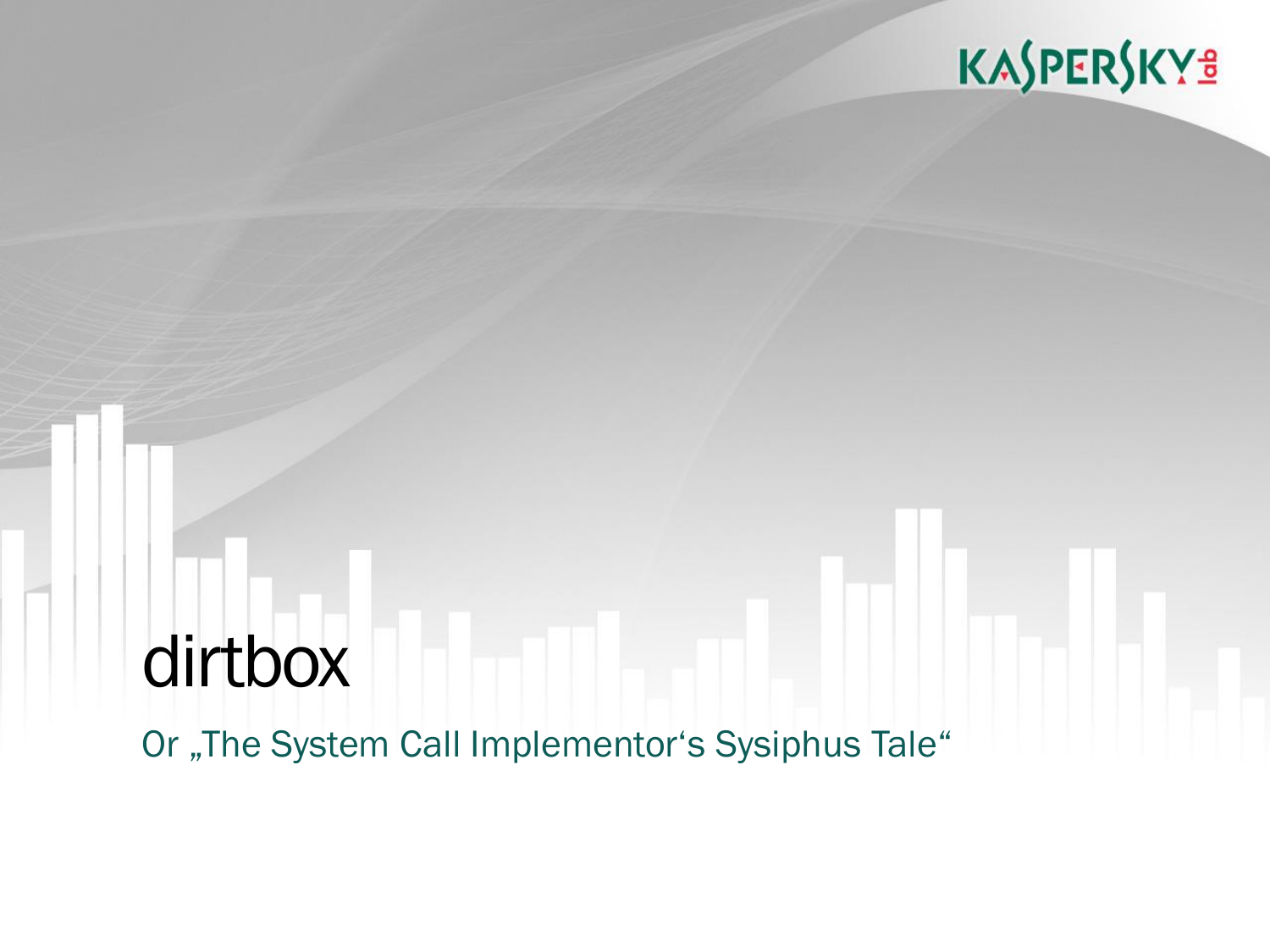## dirtbox Or "The System Call Implementor's Sysiphus Tale"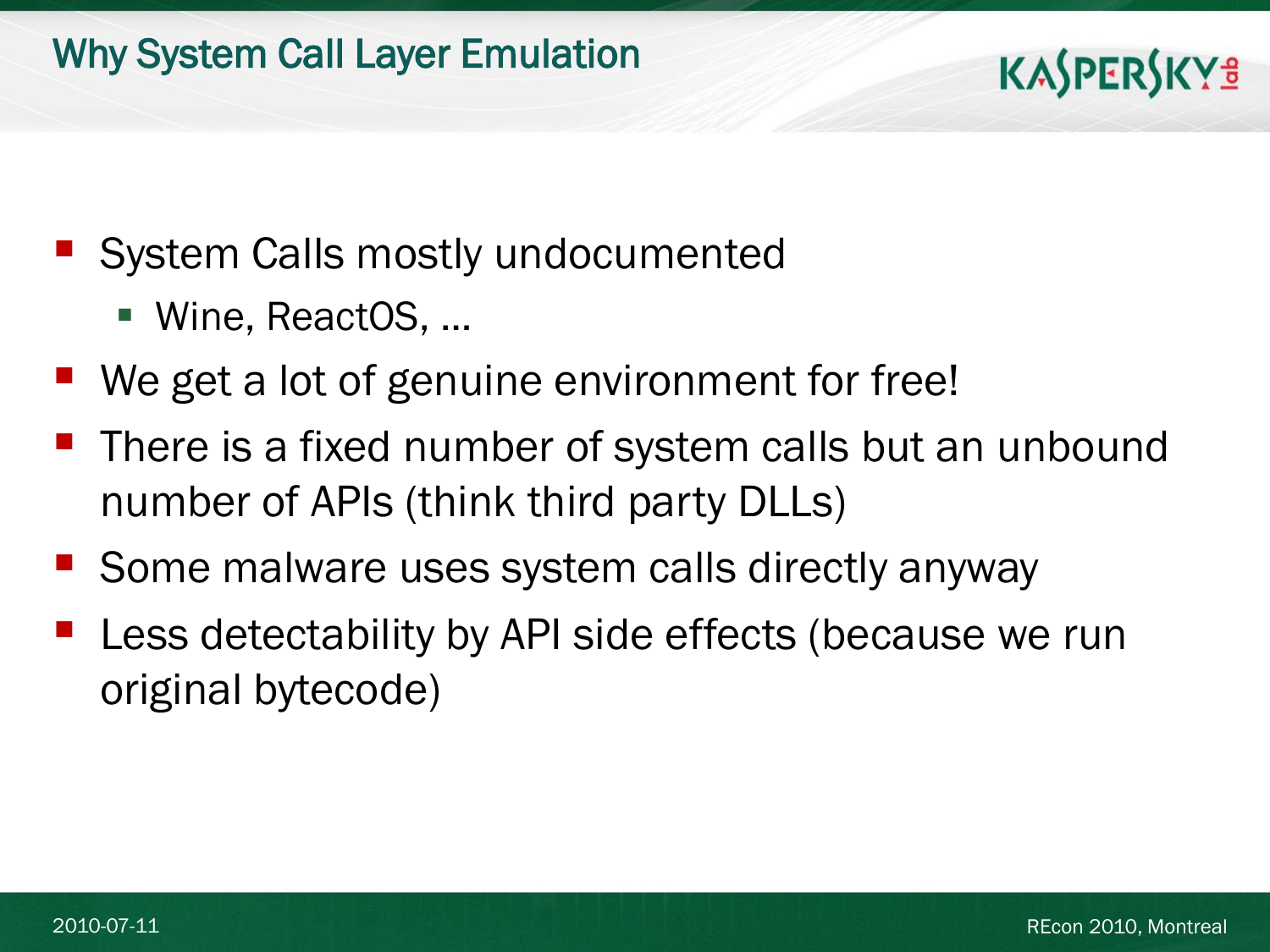#### Why System Call Layer Emulation

- **System Calls mostly undocumented** 
	- Wine, ReactOS, …
- We get a lot of genuine environment for free!
- There is a fixed number of system calls but an unbound number of APIs (think third party DLLs)
- Some malware uses system calls directly anyway
- Less detectability by API side effects (because we run original bytecode)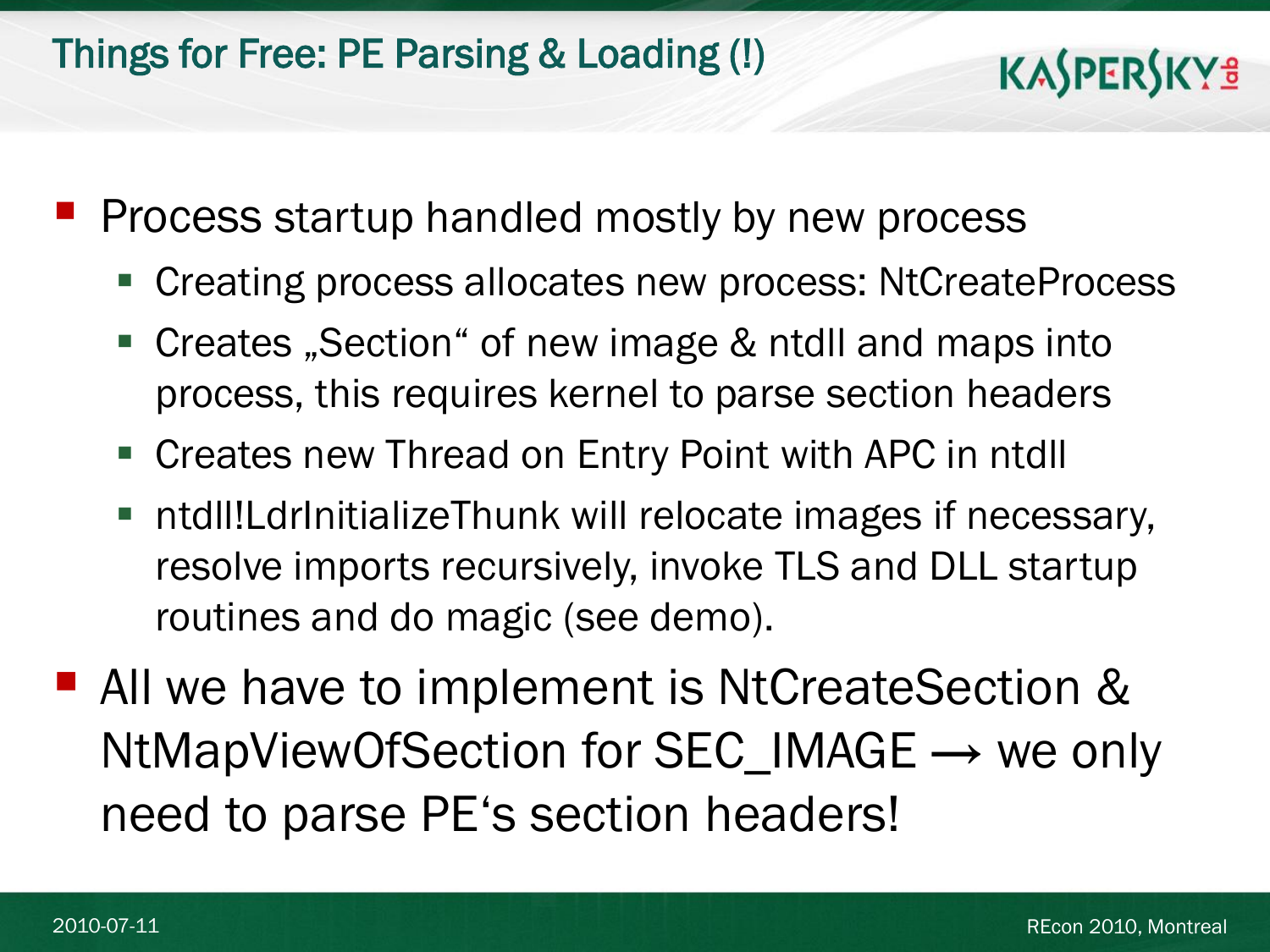#### Things for Free: PE Parsing & Loading (!)

Process startup handled mostly by new process

- **Creating process allocates new process: NtCreateProcess**
- Creates "Section" of new image & ntdll and maps into process, this requires kernel to parse section headers
- Creates new Thread on Entry Point with APC in ntdll
- ntdll!LdrInitializeThunk will relocate images if necessary, resolve imports recursively, invoke TLS and DLL startup routines and do magic (see demo).
- All we have to implement is NtCreateSection & NtMapViewOfSection for SEC\_IMAGE → we only need to parse PE's section headers!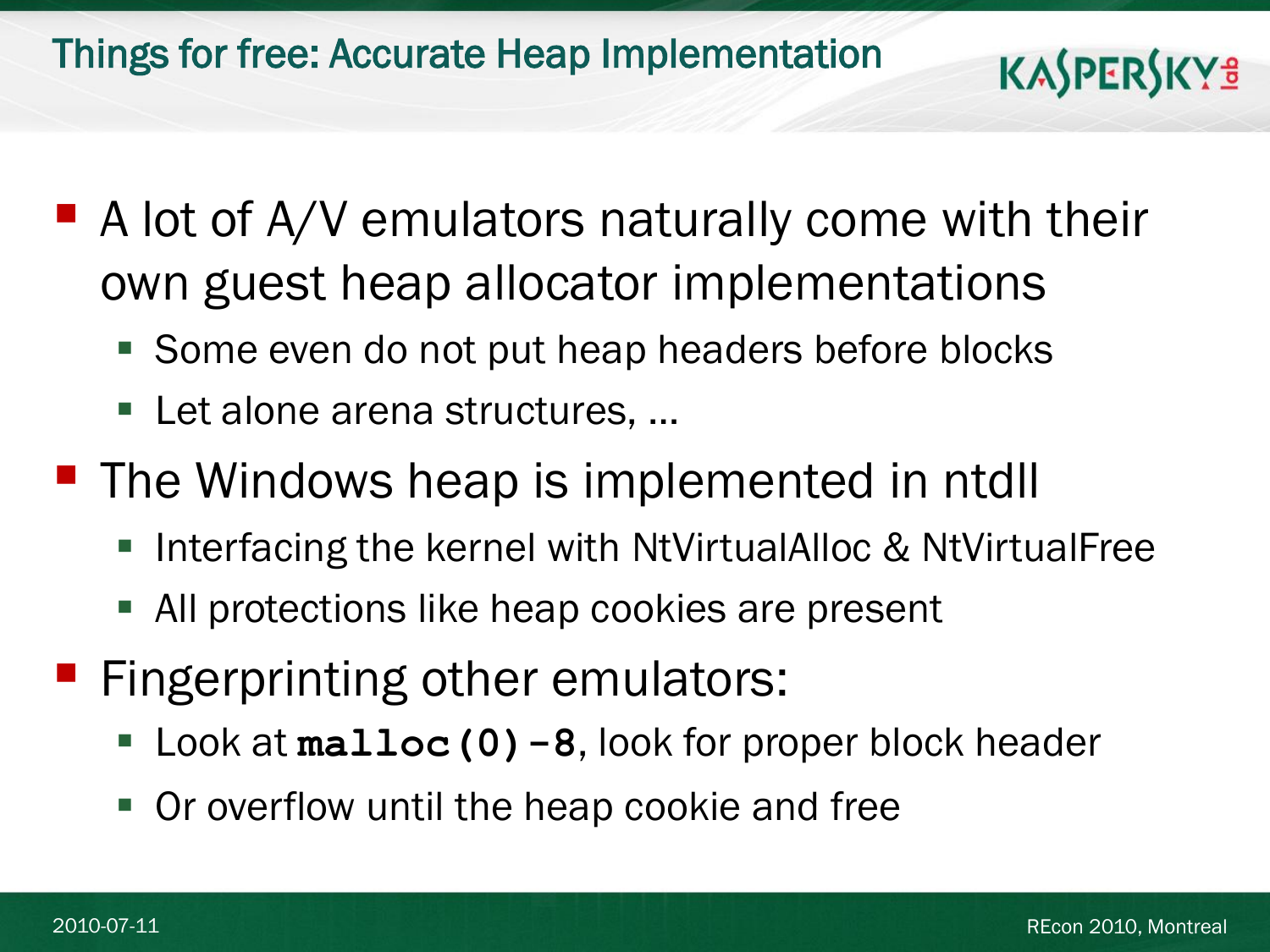Things for free: Accurate Heap Implementation

- A lot of A/V emulators naturally come with their own guest heap allocator implementations
	- Some even do not put heap headers before blocks
	- Let alone arena structures, ...
- The Windows heap is implemented in ntdll
	- Interfacing the kernel with NtVirtualAlloc & NtVirtualFree
	- All protections like heap cookies are present
- **Fingerprinting other emulators:** 
	- Look at **malloc(0)-8**, look for proper block header
	- **Or overflow until the heap cookie and free**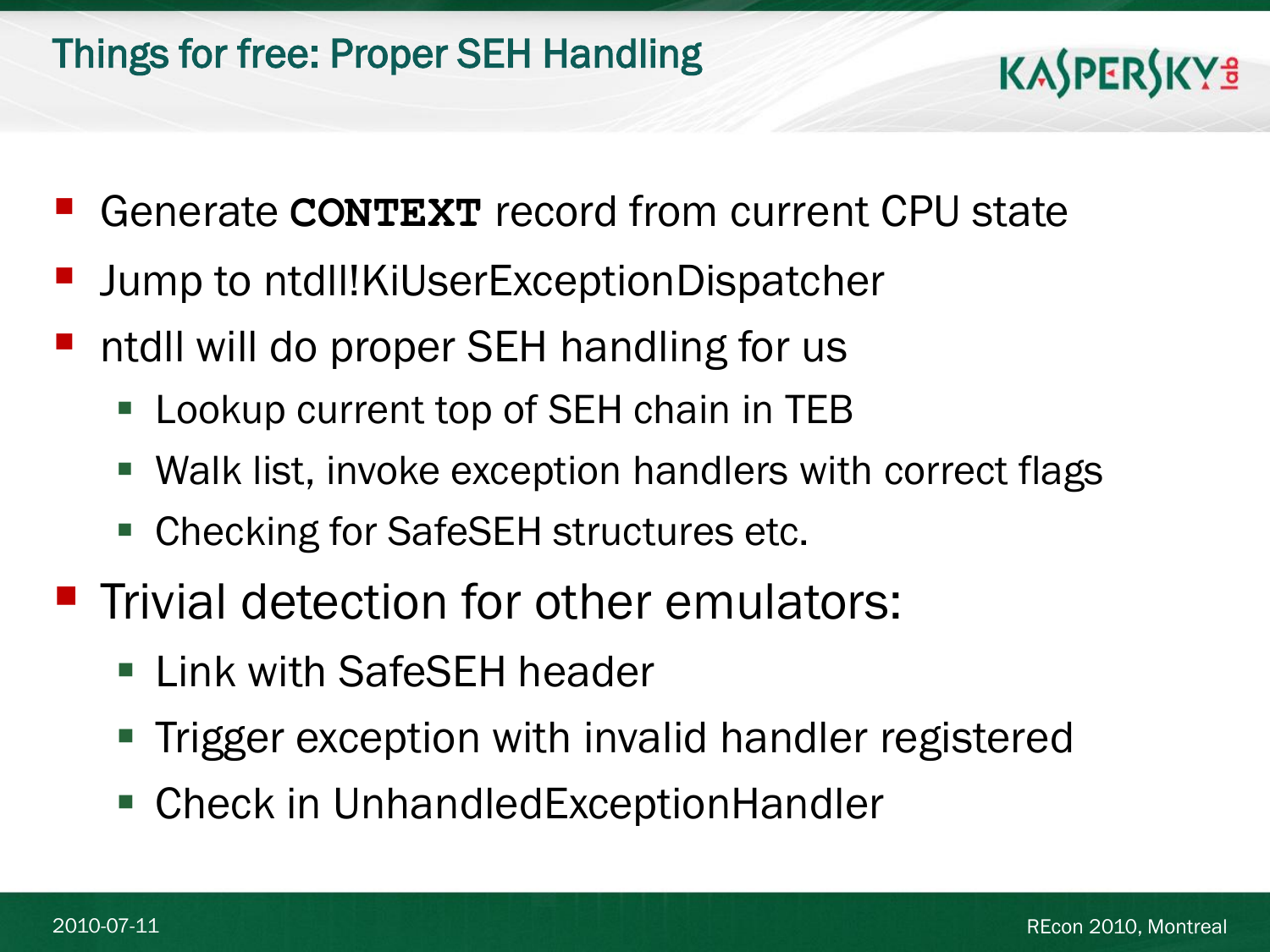- Generate **CONTEXT** record from current CPU state
- Jump to ntdll!KiUserExceptionDispatcher
- ntdll will do proper SEH handling for us
	- **Lookup current top of SEH chain in TEB**
	- Walk list, invoke exception handlers with correct flags
	- Checking for SafeSEH structures etc.
- **Trivial detection for other emulators:** 
	- **Example 1 Link with SafeSEH header**
	- **Trigger exception with invalid handler registered**
	- Check in UnhandledExceptionHandler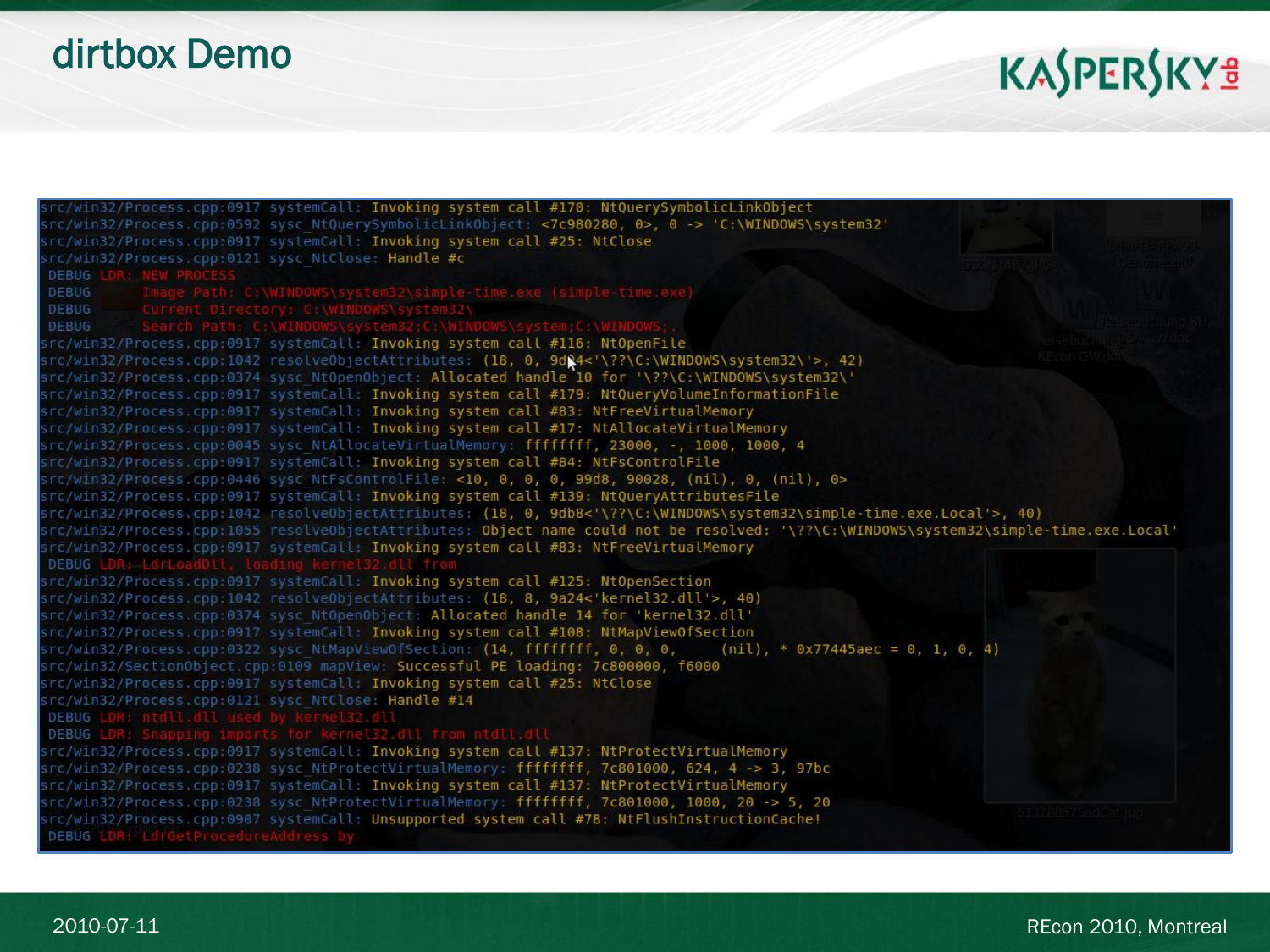#### dirtbox Demo

| src/win32/Process.cpp:0917 systemCall: Invoking system call #170: NtQuerySymbolicLinkObject                                                                              |
|--------------------------------------------------------------------------------------------------------------------------------------------------------------------------|
| src/win32/Process.cpp:0592 sysc NtQuerySymbolicLinkObject: <7c980280, 0>, 0 -> 'C:\WINDOWS\system32'                                                                     |
| src/win32/Process.cpp:0917 systemCall: Invoking system call #25: NtClose                                                                                                 |
| src/win32/Process.cpp:0121 sysc NtClose: Handle #c                                                                                                                       |
| <b>DEBUG LDR: NEW PROCESS</b>                                                                                                                                            |
| <b>DEBUG</b>                                                                                                                                                             |
| Emage Path: C:\WINDOWS\system32\simple-time.exe (simple-time.exe)<br>Current Directory: C:\WINDOWS\system32\<br>http://windowstem23.c.\WINDOWS\system32\<br><b>DEBUG</b> |
| <b>DEBUG</b>                                                                                                                                                             |
| src/win32/Process.cpp:0917 systemCall: Invoking system call #116: NtOpenFile                                                                                             |
| src/win32/Process.cpp:1042 resolve0bjectAttributes: (18, 0, 9dQ4<'\??\C:\WINDOWS\system32\'>, 42)                                                                        |
| src/win32/Process.cpp:0374 sysc NtOpenObject: Allocated handle 10 for '\??\C:\WINDOWS\system32\'                                                                         |
| src/win32/Process.cpp:0917 systemCall: Invoking system call #179: NtQueryVolumeInformationFile                                                                           |
| src/win32/Process.cpp:0917 systemCall: Invoking system call #83: NtFreeVirtualMemory                                                                                     |
| src/win32/Process.cpp:0917 systemCall: Invoking system call #17: NtAllocateVirtualMemory                                                                                 |
| src/win32/Process.cpp:0045 sysc NtAllocateVirtualMemory: ffffffff, 23000, -, 1000, 1000, 4                                                                               |
| src/win32/Process.cpp:0917 systemCall: Invoking system call #84: NtFsControlFile                                                                                         |
| src/win32/Process.cpp:0446 sysc NtFsControlFile: <10, 0, 0, 0, 99d8, 90028, (nil), 0, (nil), 0>                                                                          |
| src/win32/Process.cpp:0917 systemCall: Invoking system call #139: NtQueryAttributesFile                                                                                  |
| src/win32/Process.cpp:1042 resolve0bjectAttributes: (18, 0, 9db8<'\??\C:\WINDOWS\system32\simple-time.exe.Local'>, 40)                                                   |
| src/win32/Process.cpp:1055 resolve0bjectAttributes: Object name could not be resolved: '\??\C:\WINDOWS\system32\simple-time.exe.Local'                                   |
| src/win32/Process.cpp:0917 systemCall: Invoking system call #83: NtFreeVirtualMemory                                                                                     |
| DEBUG LDR: LdrLo                                                                                                                                                         |
| src/win32/Process.cpp:0917 systemCall: Invoking system call #125: NtOpenSection                                                                                          |
| src/win32/Process.cpp:1042 resolve0bjectAttributes: (18, 8, 9a24<'kernel32.dll'>, 40)                                                                                    |
| src/win32/Process.cpp:0374 sysc Nt0pen0bject: Allocated handle 14 for 'kernel32.dll'                                                                                     |
| src/win32/Process.cpp:0917 systemCall: Invoking system call #108: NtMapViewOfSection                                                                                     |
| src/win32/Process.cpp:0322 sysc NtMapViewOfSection: (14, ffffffff, 0, 0, 0,<br>$(nil)$ , * 0x77445aec = 0, 1, 0, 4)                                                      |
| src/win32/SectionObject.cpp:0109 mapView: Successful PE loading: 7c800000, f6000                                                                                         |
| src/win32/Process.cpp:0917 systemCall: Invoking system call #25: NtClose                                                                                                 |
| src/win32/Process.cpp:0121 sysc NtClose: Handle #14                                                                                                                      |
| DEBUG LDR: ntdll.dll used by kernel32.dll<br>DEBUG LDR: Snapping imports for kernel32.dll from ntdll.dll                                                                 |
|                                                                                                                                                                          |
| src/win32/Process.cpp:0917 systemCall: Invoking system call #137: NtProtectVirtualMemory                                                                                 |
| src/win32/Process.cpp:0238 sysc NtProtectVirtualMemory: ffffffff, 7c801000, 624, 4 -> 3, 97bc                                                                            |
| src/win32/Process.cpp:0917 systemCall: Invoking system call #137: NtProtectVirtualMemory                                                                                 |
| src/win32/Process.cpp:0238 sysc NtProtectVirtualMemory: ffffffff, 7c801000, 1000, 20 -> 5, 20<br>in 37385753063                                                          |
| src/win32/Process.cpp:0907 systemCall: Unsupported system call #78: NtFlushInstructionCache!                                                                             |
| DEBUG LDR: LdrGetProcedureAddress by                                                                                                                                     |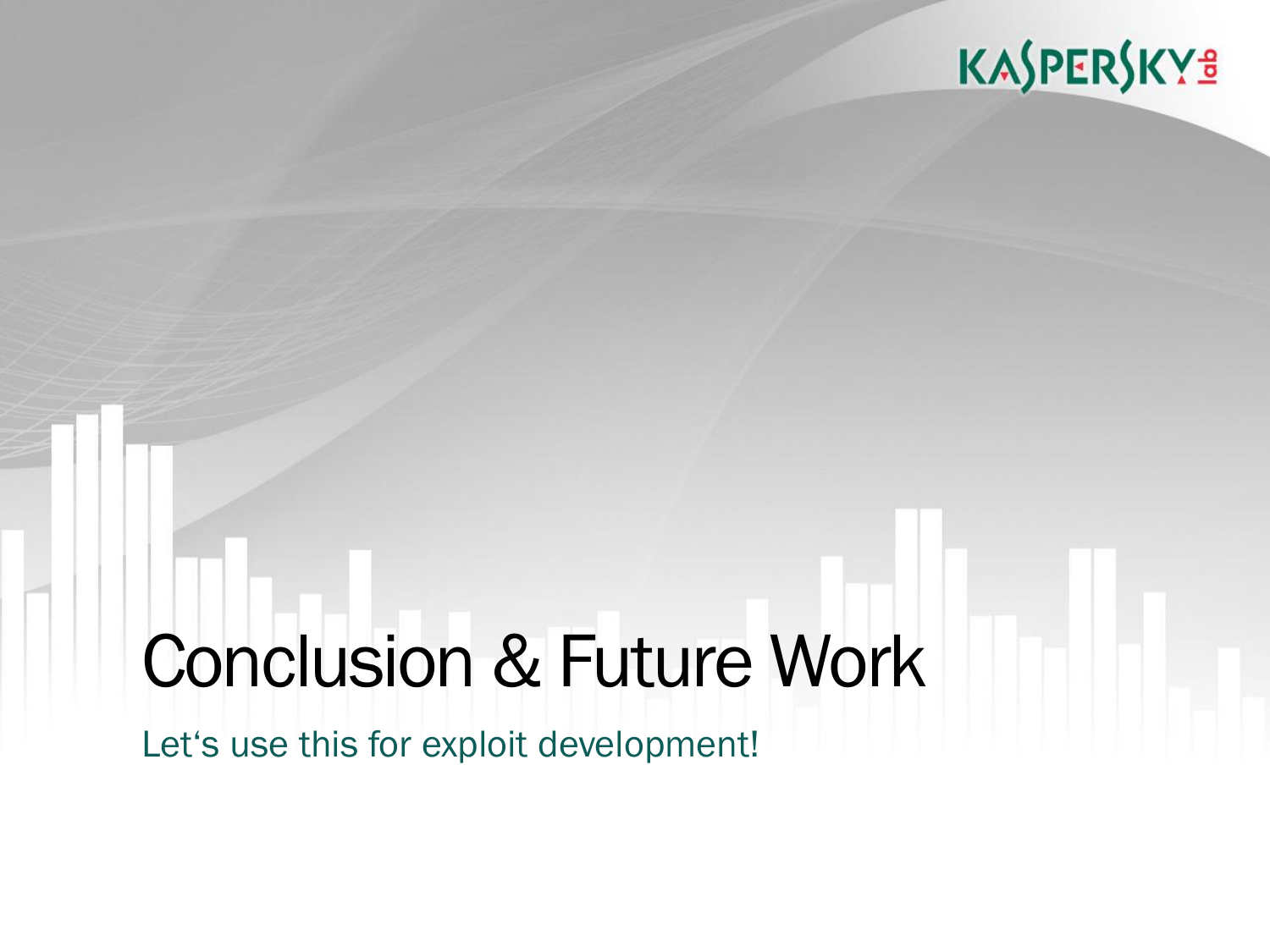## KASPERSKY<sup>3</sup>

# Conclusion & Future Work

Let's use this for exploit development!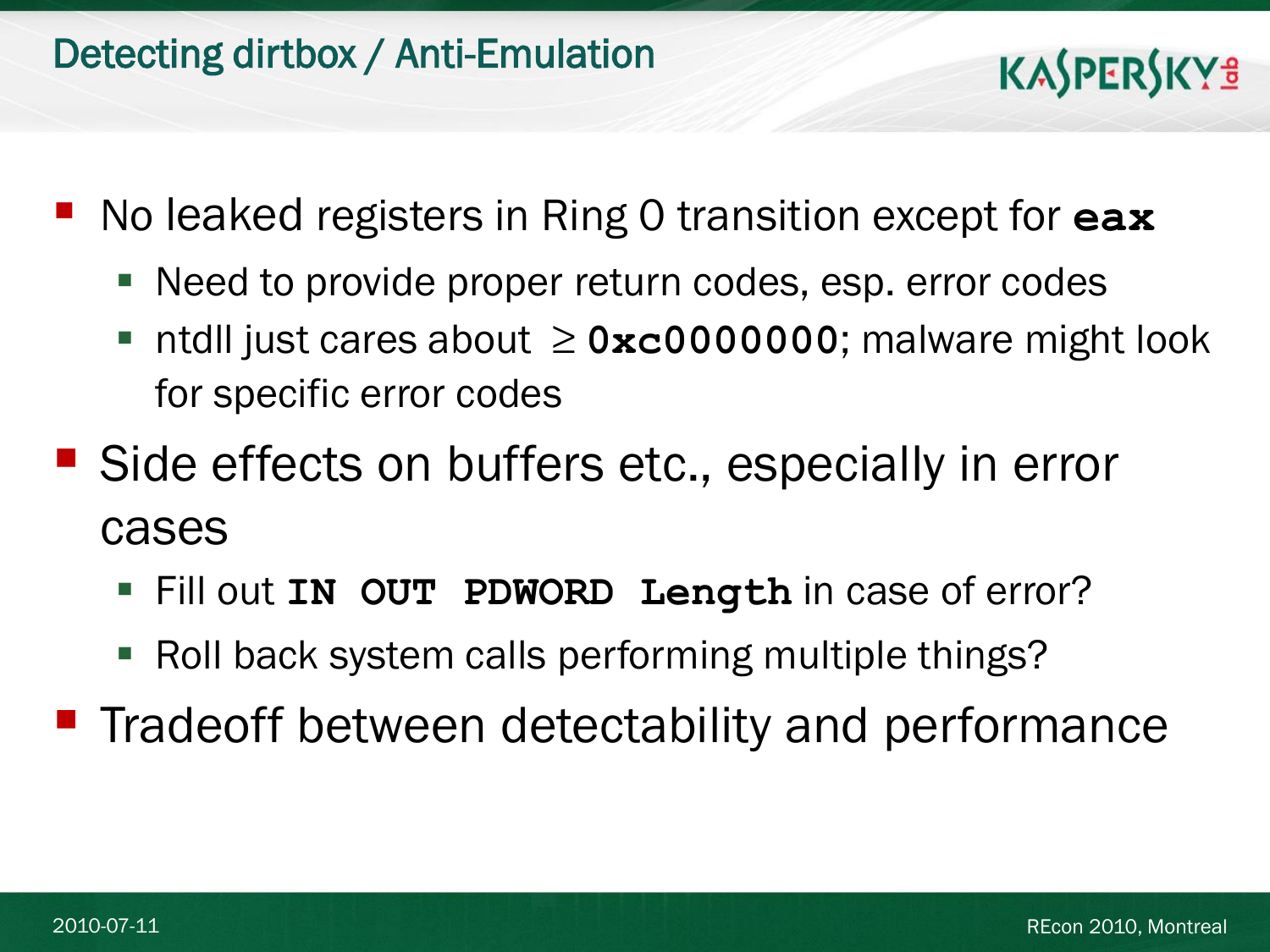- No leaked registers in Ring 0 transition except for **eax**
	- Need to provide proper return codes, esp. error codes
	- ntdll just cares about ≥ **0xc0000000**; malware might look for specific error codes
- Side effects on buffers etc., especially in error cases
	- Fill out **IN OUT PDWORD Length** in case of error?
	- Roll back system calls performing multiple things?

**Tradeoff between detectability and performance**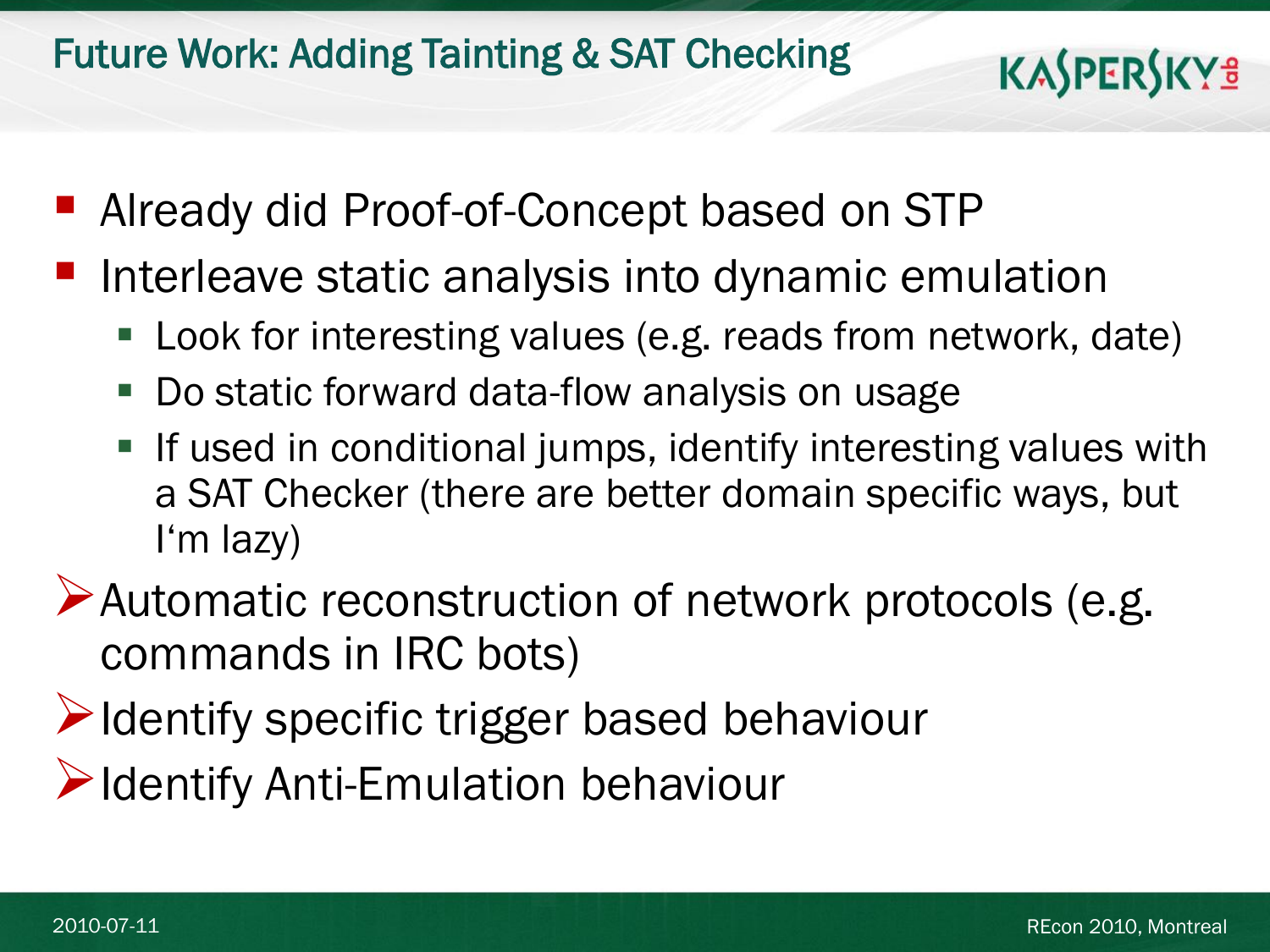#### Future Work: Adding Tainting & SAT Checking

- Already did Proof-of-Concept based on STP
- Interleave static analysis into dynamic emulation
	- Look for interesting values (e.g. reads from network, date)
	- Do static forward data-flow analysis on usage
	- **If used in conditional jumps, identify interesting values with** a SAT Checker (there are better domain specific ways, but I'm lazy)
- Automatic reconstruction of network protocols (e.g. commands in IRC bots)
- Identify specific trigger based behaviour
- **Example 12** Identify Anti-Emulation behaviour